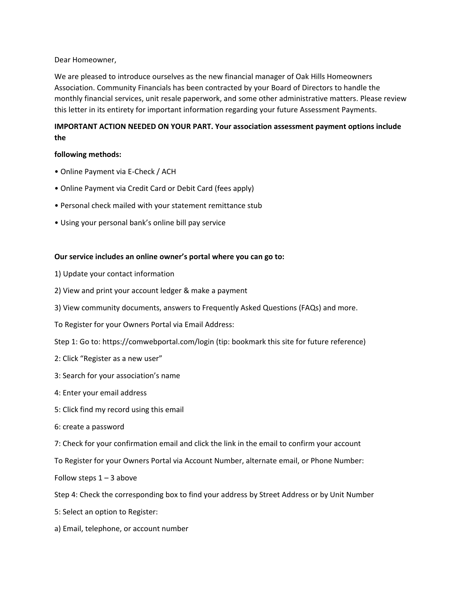Dear Homeowner,

We are pleased to introduce ourselves as the new financial manager of Oak Hills Homeowners Association. Community Financials has been contracted by your Board of Directors to handle the monthly financial services, unit resale paperwork, and some other administrative matters. Please review this letter in its entirety for important information regarding your future Assessment Payments.

# **IMPORTANT ACTION NEEDED ON YOUR PART. Your association assessment payment options include the**

# **following methods:**

- Online Payment via E-Check / ACH
- Online Payment via Credit Card or Debit Card (fees apply)
- Personal check mailed with your statement remittance stub
- Using your personal bank's online bill pay service

# **Our service includes an online owner's portal where you can go to:**

- 1) Update your contact information
- 2) View and print your account ledger & make a payment
- 3) View community documents, answers to Frequently Asked Questions (FAQs) and more.
- To Register for your Owners Portal via Email Address:
- Step 1: Go to: https://comwebportal.com/login (tip: bookmark this site for future reference)
- 2: Click "Register as a new user"
- 3: Search for your association's name
- 4: Enter your email address
- 5: Click find my record using this email
- 6: create a password

7: Check for your confirmation email and click the link in the email to confirm your account

To Register for your Owners Portal via Account Number, alternate email, or Phone Number:

Follow steps  $1 - 3$  above

Step 4: Check the corresponding box to find your address by Street Address or by Unit Number

- 5: Select an option to Register:
- a) Email, telephone, or account number